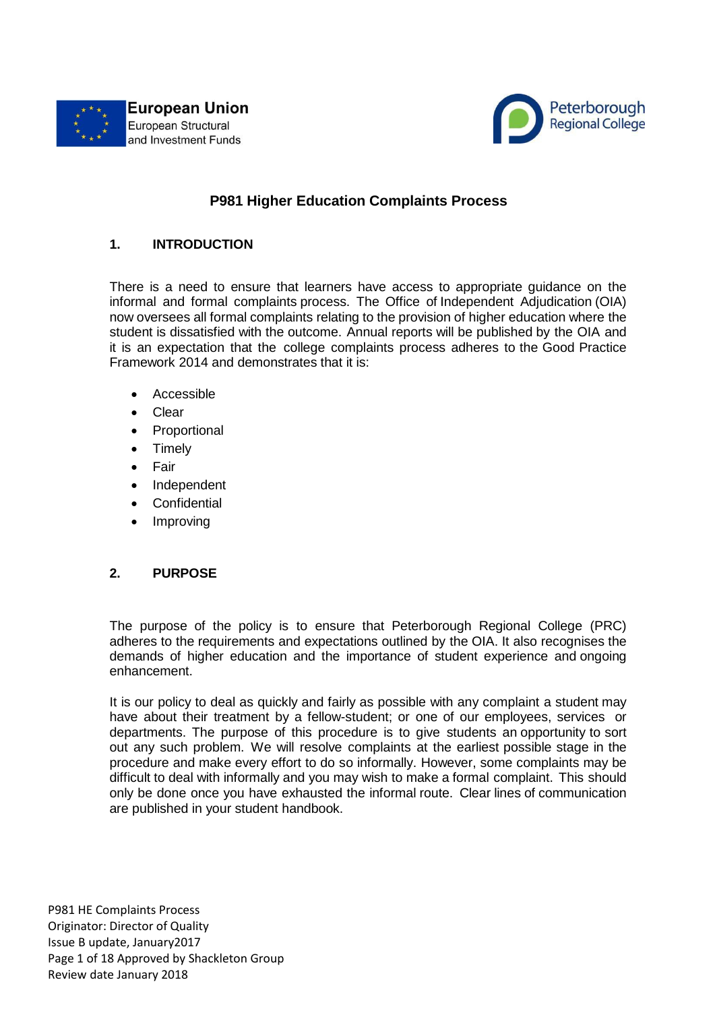



## **P981 Higher Education Complaints Process**

## **1. INTRODUCTION**

There is a need to ensure that learners have access to appropriate guidance on the informal and formal complaints process. The Office of Independent Adjudication (OIA) now oversees all formal complaints relating to the provision of higher education where the student is dissatisfied with the outcome. Annual reports will be published by the OIA and it is an expectation that the college complaints process adheres to the Good Practice Framework 2014 and demonstrates that it is:

- Accessible
- Clear
- Proportional
- Timely
- Fair
- Independent
- Confidential
- Improving

## **2. PURPOSE**

The purpose of the policy is to ensure that Peterborough Regional College (PRC) adheres to the requirements and expectations outlined by the OIA. It also recognises the demands of higher education and the importance of student experience and ongoing enhancement.

It is our policy to deal as quickly and fairly as possible with any complaint a student may have about their treatment by a fellow-student; or one of our employees, services or departments. The purpose of this procedure is to give students an opportunity to sort out any such problem. We will resolve complaints at the earliest possible stage in the procedure and make every effort to do so informally. However, some complaints may be difficult to deal with informally and you may wish to make a formal complaint. This should only be done once you have exhausted the informal route. Clear lines of communication are published in your student handbook.

P981 HE Complaints Process Originator: Director of Quality Issue B update, January2017 Page 1 of 18 Approved by Shackleton Group Review date January 2018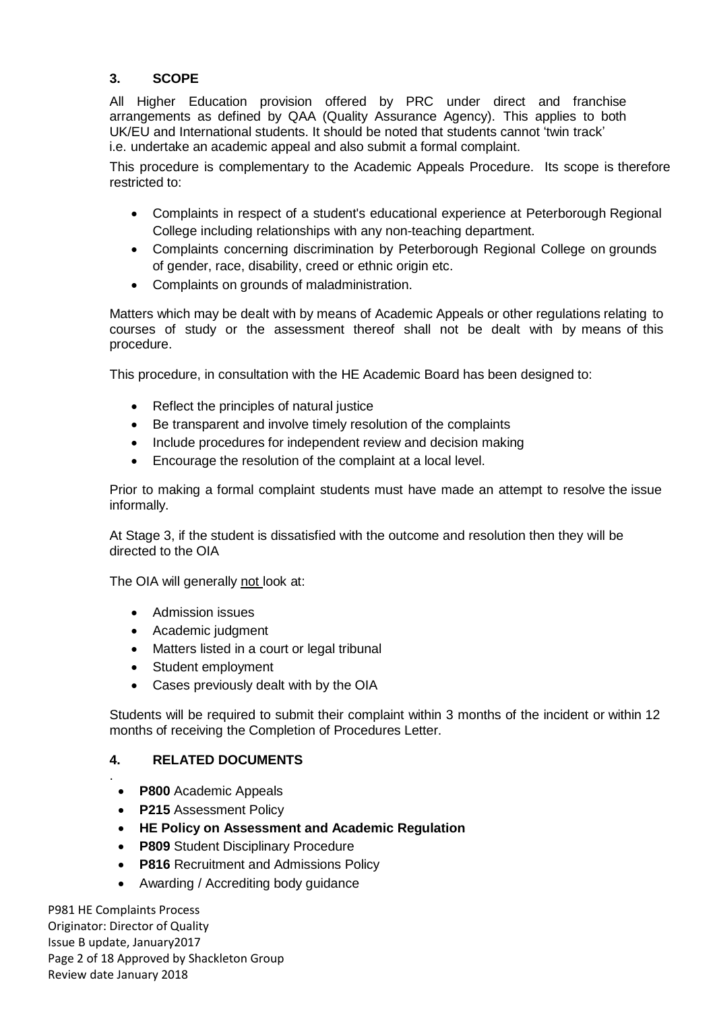## **3. SCOPE**

All Higher Education provision offered by PRC under direct and franchise arrangements as defined by QAA (Quality Assurance Agency). This applies to both UK/EU and International students. It should be noted that students cannot 'twin track' i.e. undertake an academic appeal and also submit a formal complaint.

This procedure is complementary to the Academic Appeals Procedure. Its scope is therefore restricted to:

- Complaints in respect of a student's educational experience at Peterborough Regional College including relationships with any non-teaching department.
- Complaints concerning discrimination by Peterborough Regional College on grounds of gender, race, disability, creed or ethnic origin etc.
- Complaints on grounds of maladministration.

Matters which may be dealt with by means of Academic Appeals or other regulations relating to courses of study or the assessment thereof shall not be dealt with by means of this procedure.

This procedure, in consultation with the HE Academic Board has been designed to:

- Reflect the principles of natural justice
- Be transparent and involve timely resolution of the complaints
- Include procedures for independent review and decision making
- Encourage the resolution of the complaint at a local level.

Prior to making a formal complaint students must have made an attempt to resolve the issue informally.

At Stage 3, if the student is dissatisfied with the outcome and resolution then they will be directed to the OIA

The OIA will generally not look at:

- Admission issues
- Academic judgment
- Matters listed in a court or legal tribunal
- Student employment
- Cases previously dealt with by the OIA

Students will be required to submit their complaint within 3 months of the incident or within 12 months of receiving the Completion of Procedures Letter.

## **4. RELATED DOCUMENTS**

- **P800** Academic Appeals
- **P215** Assessment Policy
- **HE Policy on Assessment and Academic Regulation**
- **P809** Student Disciplinary Procedure
- **P816** Recruitment and Admissions Policy
- Awarding / Accrediting body guidance

P981 HE Complaints Process Originator: Director of Quality Issue B update, January2017 Page 2 of 18 Approved by Shackleton Group Review date January 2018

.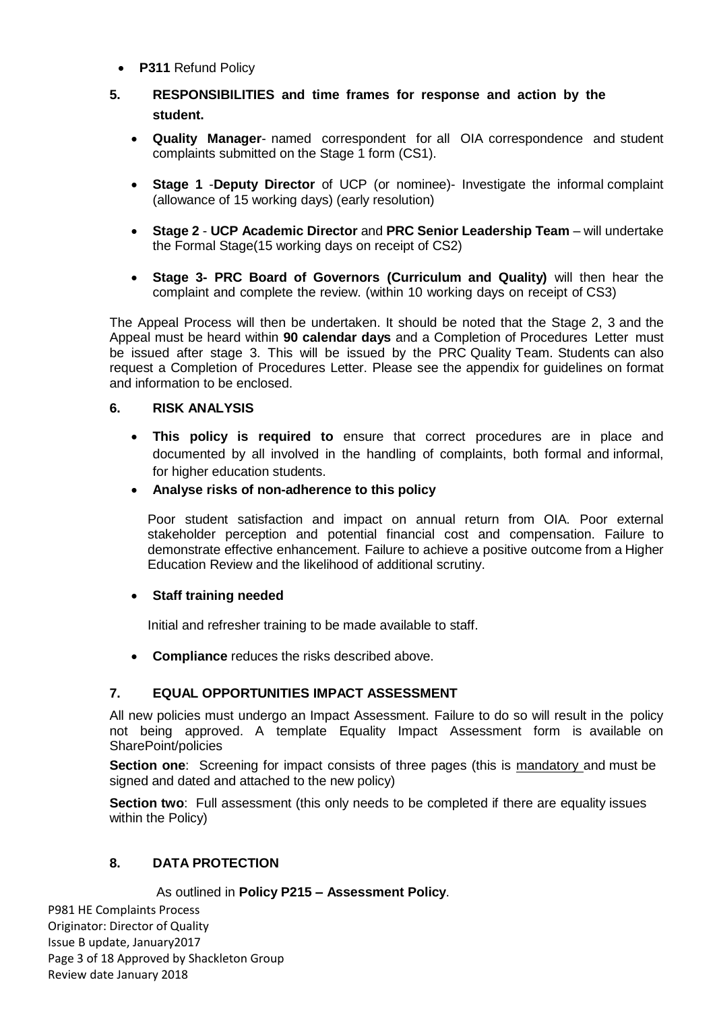- **P311** Refund Policy
- **5. RESPONSIBILITIES and time frames for response and action by the student.**
	- **Quality Manager** named correspondent for all OIA correspondence and student complaints submitted on the Stage 1 form (CS1).
	- **Stage 1** -**Deputy Director** of UCP (or nominee)- Investigate the informal complaint (allowance of 15 working days) (early resolution)
	- **Stage 2 UCP Academic Director** and **PRC Senior Leadership Team** will undertake the Formal Stage(15 working days on receipt of CS2)
	- **Stage 3- PRC Board of Governors (Curriculum and Quality)** will then hear the complaint and complete the review. (within 10 working days on receipt of CS3)

The Appeal Process will then be undertaken. It should be noted that the Stage 2, 3 and the Appeal must be heard within **90 calendar days** and a Completion of Procedures Letter must be issued after stage 3. This will be issued by the PRC Quality Team. Students can also request a Completion of Procedures Letter. Please see the appendix for guidelines on format and information to be enclosed.

## **6. RISK ANALYSIS**

- **This policy is required to** ensure that correct procedures are in place and documented by all involved in the handling of complaints, both formal and informal, for higher education students.
- **Analyse risks of non-adherence to this policy**

Poor student satisfaction and impact on annual return from OIA. Poor external stakeholder perception and potential financial cost and compensation. Failure to demonstrate effective enhancement. Failure to achieve a positive outcome from a Higher Education Review and the likelihood of additional scrutiny.

## **Staff training needed**

Initial and refresher training to be made available to staff.

**Compliance** reduces the risks described above.

## **7. EQUAL OPPORTUNITIES IMPACT ASSESSMENT**

All new policies must undergo an Impact Assessment. Failure to do so will result in the policy not being approved. A template Equality Impact Assessment form is available on [SharePoint/policies](file://///peterborough.ac.uk/mfi/dfsCorpData/Policies/Equality%20impact%20assessment%20(2).doc)

**Section one**: Screening for impact consists of three pages (this is mandatory and must be signed and dated and attached to the new policy)

**Section two**: Full assessment (this only needs to be completed if there are equality issues within the Policy)

## **8. DATA PROTECTION**

## As outlined in **Policy P215 – Assessment Policy**.

P981 HE Complaints Process Originator: Director of Quality Issue B update, January2017 Page 3 of 18 Approved by Shackleton Group Review date January 2018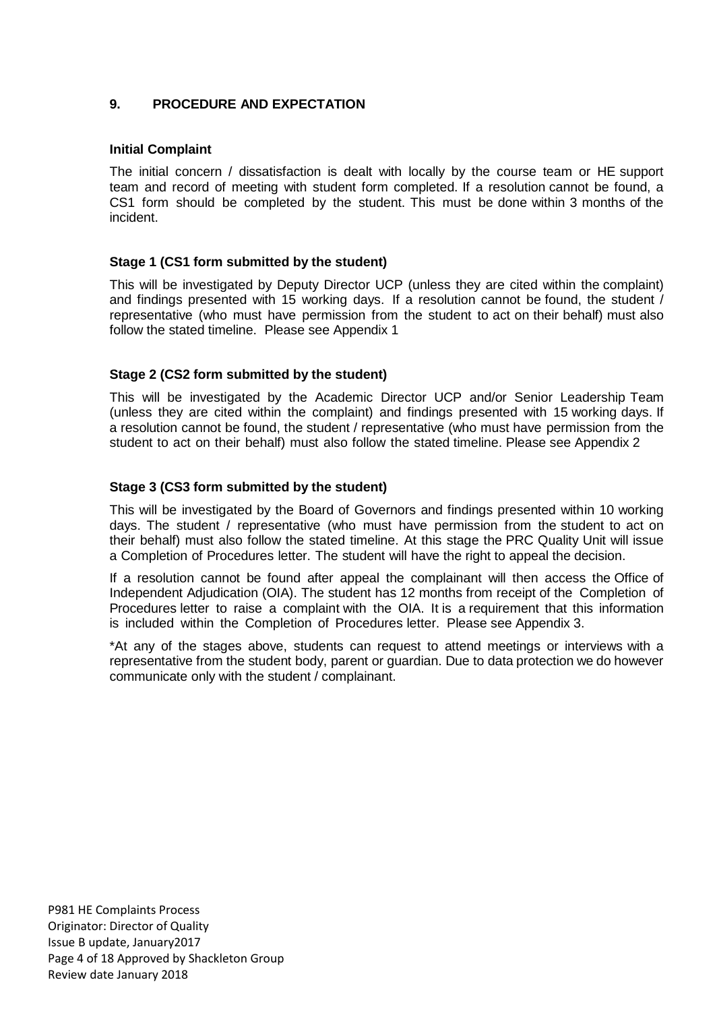## **9. PROCEDURE AND EXPECTATION**

## **Initial Complaint**

The initial concern / dissatisfaction is dealt with locally by the course team or HE support team and record of meeting with student form completed. If a resolution cannot be found, a CS1 form should be completed by the student. This must be done within 3 months of the incident.

## **Stage 1 (CS1 form submitted by the student)**

This will be investigated by Deputy Director UCP (unless they are cited within the complaint) and findings presented with 15 working days. If a resolution cannot be found, the student / representative (who must have permission from the student to act on their behalf) must also follow the stated timeline. Please see Appendix 1

## **Stage 2 (CS2 form submitted by the student)**

This will be investigated by the Academic Director UCP and/or Senior Leadership Team (unless they are cited within the complaint) and findings presented with 15 working days. If a resolution cannot be found, the student / representative (who must have permission from the student to act on their behalf) must also follow the stated timeline. Please see Appendix 2

## **Stage 3 (CS3 form submitted by the student)**

This will be investigated by the Board of Governors and findings presented within 10 working days. The student / representative (who must have permission from the student to act on their behalf) must also follow the stated timeline. At this stage the PRC Quality Unit will issue a Completion of Procedures letter. The student will have the right to appeal the decision.

If a resolution cannot be found after appeal the complainant will then access the Office of Independent Adjudication (OIA). The student has 12 months from receipt of the Completion of Procedures letter to raise a complaint with the OIA. It is a requirement that this information is included within the Completion of Procedures letter. Please see Appendix 3.

\*At any of the stages above, students can request to attend meetings or interviews with a representative from the student body, parent or guardian. Due to data protection we do however communicate only with the student / complainant.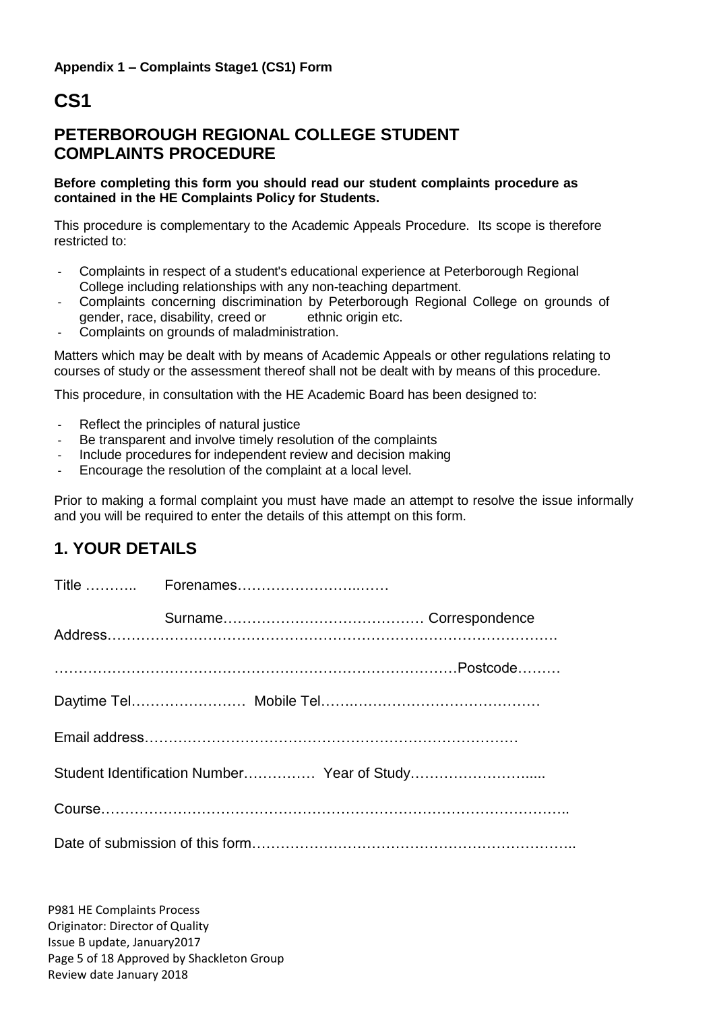# **CS1**

# **PETERBOROUGH REGIONAL COLLEGE STUDENT COMPLAINTS PROCEDURE**

## **Before completing this form you should read our student complaints procedure as contained in the HE Complaints Policy for Students.**

This procedure is complementary to the Academic Appeals Procedure. Its scope is therefore restricted to:

- Complaints in respect of a student's educational experience at Peterborough Regional College including relationships with any non-teaching department.
- Complaints concerning discrimination by Peterborough Regional College on grounds of gender, race, disability, creed or ethnic origin etc.
- Complaints on grounds of maladministration.

Matters which may be dealt with by means of Academic Appeals or other regulations relating to courses of study or the assessment thereof shall not be dealt with by means of this procedure.

This procedure, in consultation with the HE Academic Board has been designed to:

- Reflect the principles of natural justice
- Be transparent and involve timely resolution of the complaints
- Include procedures for independent review and decision making
- Encourage the resolution of the complaint at a local level.

Prior to making a formal complaint you must have made an attempt to resolve the issue informally and you will be required to enter the details of this attempt on this form.

# **1. YOUR DETAILS**

P981 HE Complaints Process Originator: Director of Quality Issue B update, January2017 Page 5 of 18 Approved by Shackleton Group Review date January 2018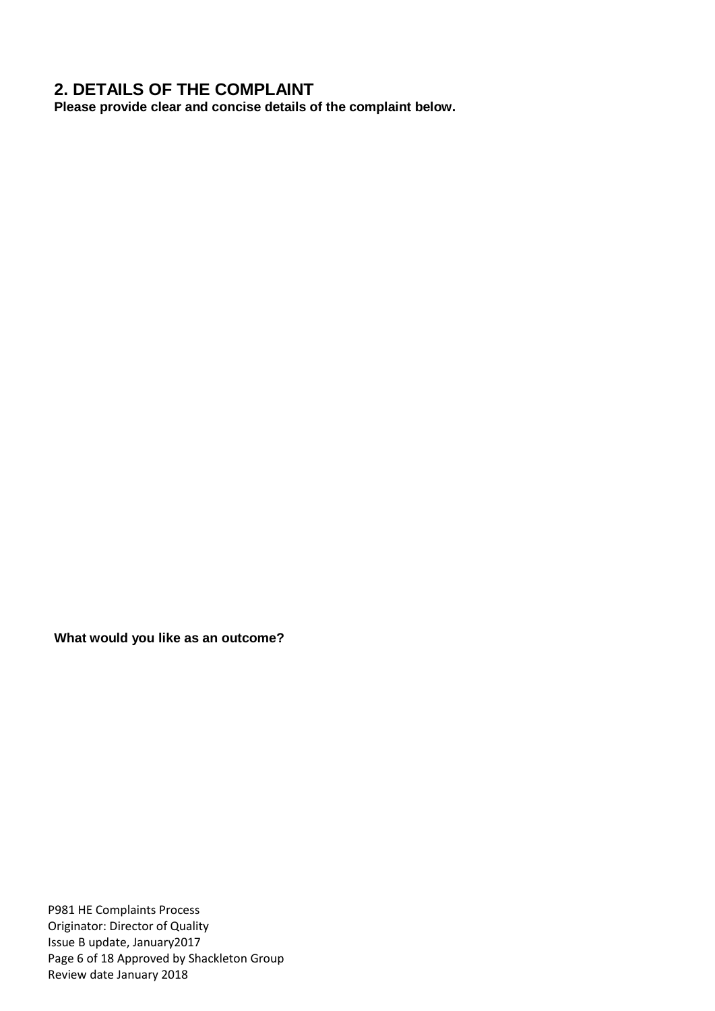# **2. DETAILS OF THE COMPLAINT**

**Please provide clear and concise details of the complaint below.**

**What would you like as an outcome?**

P981 HE Complaints Process Originator: Director of Quality Issue B update, January2017 Page 6 of 18 Approved by Shackleton Group Review date January 2018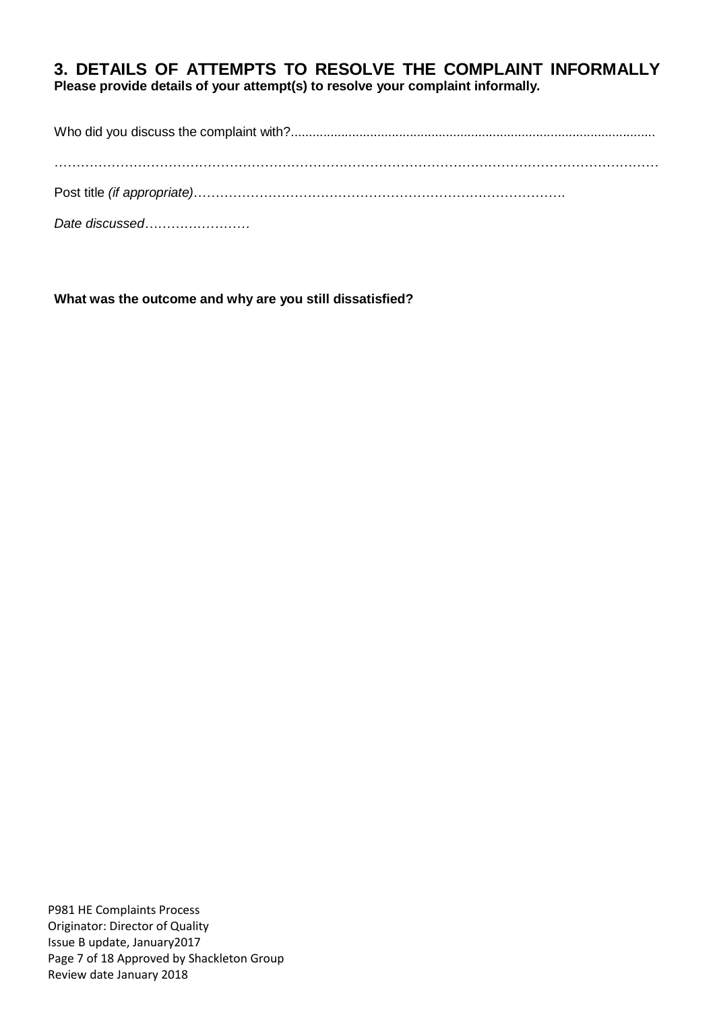## **3. DETAILS OF ATTEMPTS TO RESOLVE THE COMPLAINT INFORMALLY Please provide details of your attempt(s) to resolve your complaint informally.**

| Date discussed |  |
|----------------|--|

**What was the outcome and why are you still dissatisfied?**

P981 HE Complaints Process Originator: Director of Quality Issue B update, January2017 Page 7 of 18 Approved by Shackleton Group Review date January 2018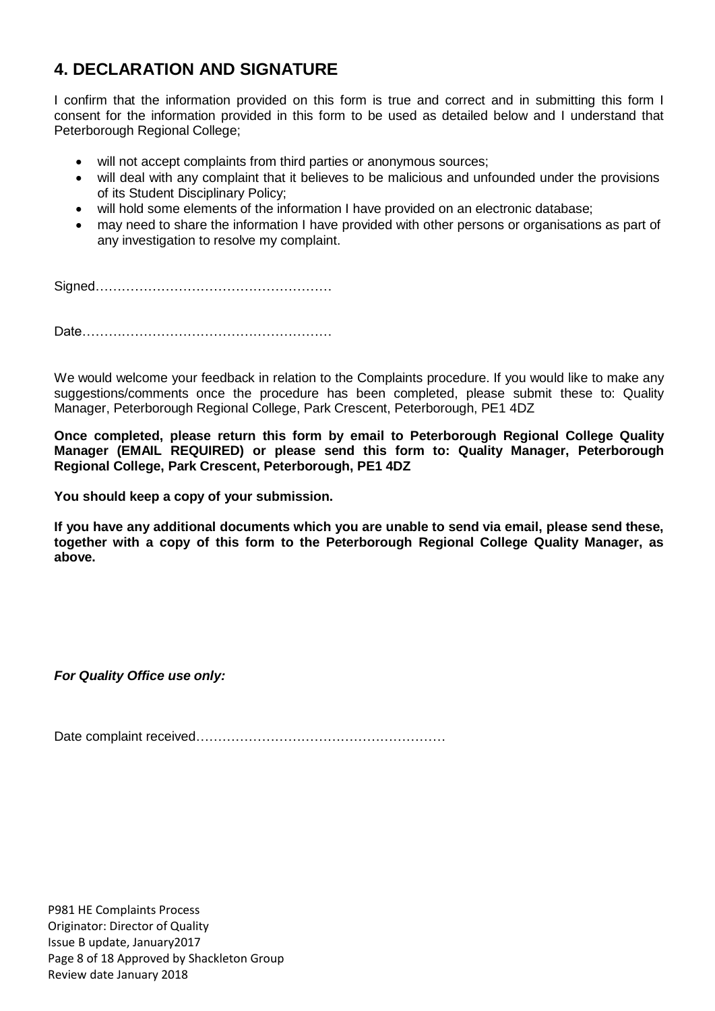# **4. DECLARATION AND SIGNATURE**

I confirm that the information provided on this form is true and correct and in submitting this form I consent for the information provided in this form to be used as detailed below and I understand that Peterborough Regional College;

- will not accept complaints from third parties or anonymous sources;
- will deal with any complaint that it believes to be malicious and unfounded under the provisions of its Student Disciplinary Policy;
- will hold some elements of the information I have provided on an electronic database;
- may need to share the information I have provided with other persons or organisations as part of any investigation to resolve my complaint.

Signed………………………………………………

Date…………………………………………………

We would welcome your feedback in relation to the Complaints procedure. If you would like to make any suggestions/comments once the procedure has been completed, please submit these to: Quality Manager, Peterborough Regional College, Park Crescent, Peterborough, PE1 4DZ

**Once completed, please return this form by email to Peterborough Regional College Quality Manager (EMAIL REQUIRED) or please send this form to: Quality Manager, Peterborough Regional College, Park Crescent, Peterborough, PE1 4DZ**

**You should keep a copy of your submission.**

**If you have any additional documents which you are unable to send via email, please send these, together with a copy of this form to the Peterborough Regional College Quality Manager, as above.**

*For Quality Office use only:*

Date complaint received…………………………………………………

P981 HE Complaints Process Originator: Director of Quality Issue B update, January2017 Page 8 of 18 Approved by Shackleton Group Review date January 2018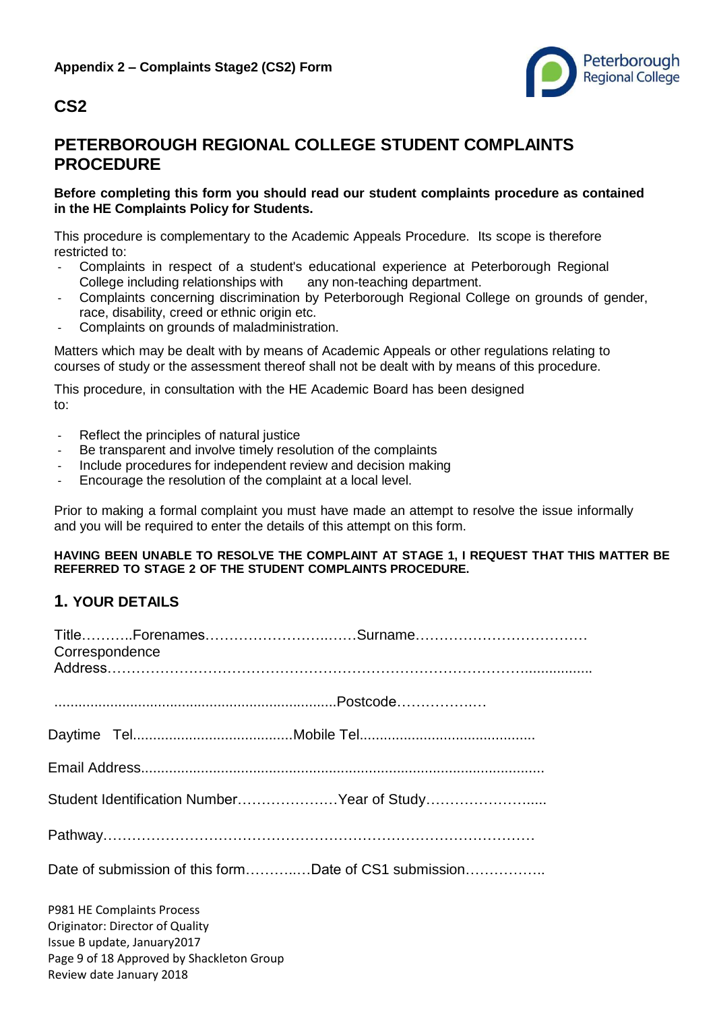

# **CS2**

# **PETERBOROUGH REGIONAL COLLEGE STUDENT COMPLAINTS PROCEDURE**

#### **Before completing this form you should read our student complaints procedure as contained in the HE Complaints Policy for Students.**

This procedure is complementary to the Academic Appeals Procedure. Its scope is therefore restricted to:

- Complaints in respect of a student's educational experience at Peterborough Regional College including relationships with any non-teaching department.
- Complaints concerning discrimination by Peterborough Regional College on grounds of gender, race, disability, creed or ethnic origin etc.
- Complaints on grounds of maladministration.

Matters which may be dealt with by means of Academic Appeals or other regulations relating to courses of study or the assessment thereof shall not be dealt with by means of this procedure.

This procedure, in consultation with the HE Academic Board has been designed to:

- Reflect the principles of natural justice
- Be transparent and involve timely resolution of the complaints
- Include procedures for independent review and decision making
- Encourage the resolution of the complaint at a local level.

Prior to making a formal complaint you must have made an attempt to resolve the issue informally and you will be required to enter the details of this attempt on this form.

#### **HAVING BEEN UNABLE TO RESOLVE THE COMPLAINT AT STAGE 1, I REQUEST THAT THIS MATTER BE REFERRED TO STAGE 2 OF THE STUDENT COMPLAINTS PROCEDURE.**

## **1. YOUR DETAILS**

| Correspondence             | TitleForenamesSurname                                 |
|----------------------------|-------------------------------------------------------|
|                            |                                                       |
|                            |                                                       |
|                            |                                                       |
|                            | Student Identification NumberYear of Study            |
|                            |                                                       |
|                            | Date of submission of this formDate of CS1 submission |
| P981 HE Complaints Process |                                                       |

Originator: Director of Quality Issue B update, January2017 Page 9 of 18 Approved by Shackleton Group Review date January 2018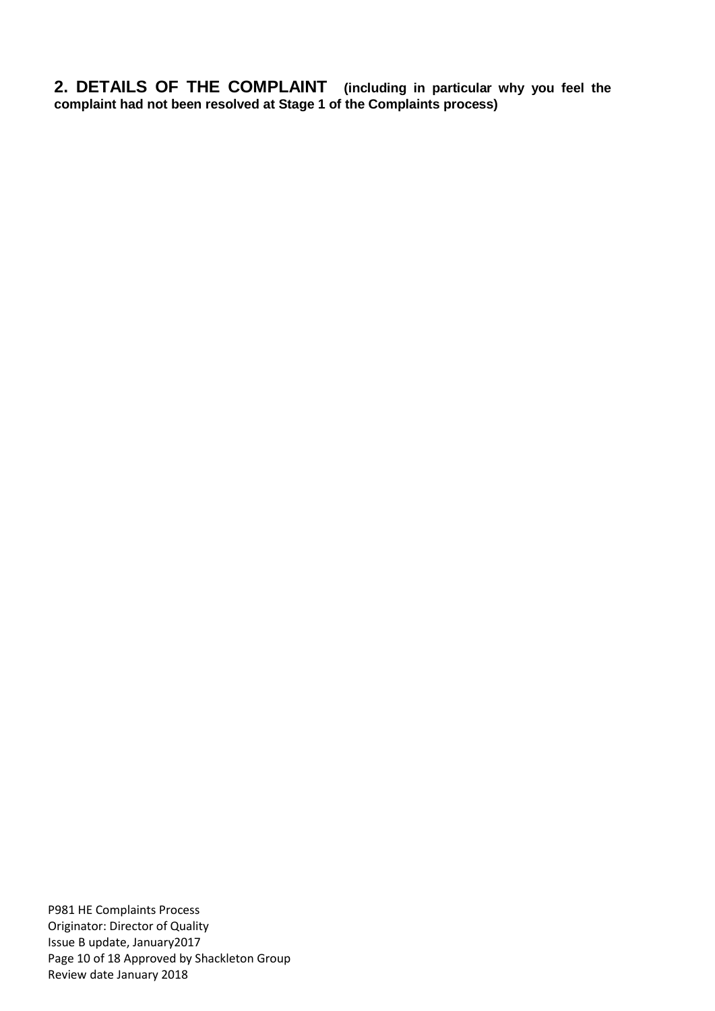**2. DETAILS OF THE COMPLAINT (including in particular why you feel the complaint had not been resolved at Stage 1 of the Complaints process)**

P981 HE Complaints Process Originator: Director of Quality Issue B update, January2017 Page 10 of 18 Approved by Shackleton Group Review date January 2018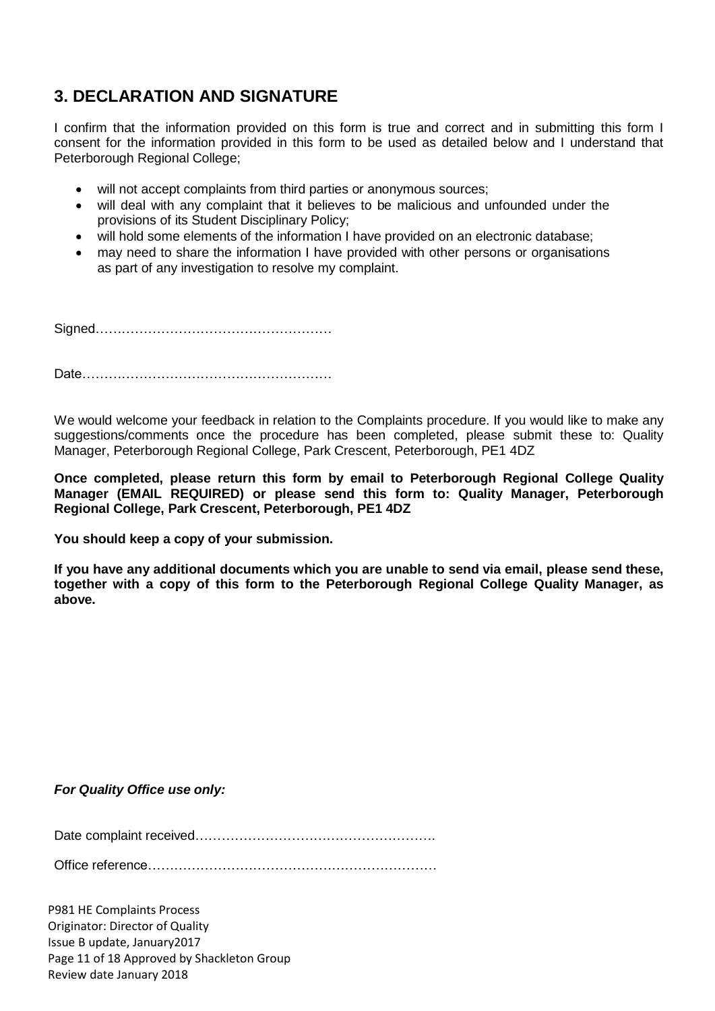# **3. DECLARATION AND SIGNATURE**

I confirm that the information provided on this form is true and correct and in submitting this form I consent for the information provided in this form to be used as detailed below and I understand that Peterborough Regional College;

- will not accept complaints from third parties or anonymous sources;
- will deal with any complaint that it believes to be malicious and unfounded under the provisions of its Student Disciplinary Policy;
- will hold some elements of the information I have provided on an electronic database;
- may need to share the information I have provided with other persons or organisations as part of any investigation to resolve my complaint.

Signed………………………………………………

Date…………………………………………………

We would welcome your feedback in relation to the Complaints procedure. If you would like to make any suggestions/comments once the procedure has been completed, please submit these to: Quality Manager, Peterborough Regional College, Park Crescent, Peterborough, PE1 4DZ

**Once completed, please return this form by email to Peterborough Regional College Quality Manager (EMAIL REQUIRED) or please send this form to: Quality Manager, Peterborough Regional College, Park Crescent, Peterborough, PE1 4DZ**

**You should keep a copy of your submission.**

**If you have any additional documents which you are unable to send via email, please send these, together with a copy of this form to the Peterborough Regional College Quality Manager, as above.**

## *For Quality Office use only:*

Date complaint received……………………………………………….

Office reference…………………………………………………………

P981 HE Complaints Process Originator: Director of Quality Issue B update, January2017 Page 11 of 18 Approved by Shackleton Group Review date January 2018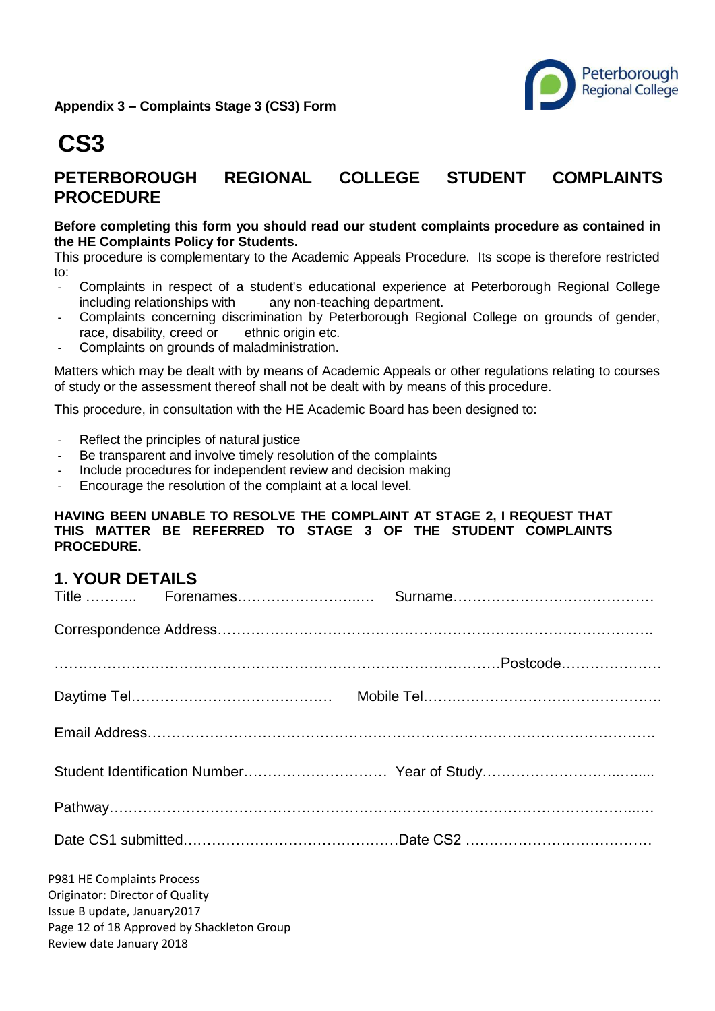

# **CS3**

# **PETERBOROUGH REGIONAL COLLEGE STUDENT COMPLAINTS PROCEDURE**

#### **Before completing this form you should read our student complaints procedure as contained in the HE Complaints Policy for Students.**

This procedure is complementary to the Academic Appeals Procedure. Its scope is therefore restricted to:

- Complaints in respect of a student's educational experience at Peterborough Regional College including relationships with any non-teaching department.
- Complaints concerning discrimination by Peterborough Regional College on grounds of gender, race, disability, creed or ethnic origin etc.
- Complaints on grounds of maladministration.

Matters which may be dealt with by means of Academic Appeals or other regulations relating to courses of study or the assessment thereof shall not be dealt with by means of this procedure.

This procedure, in consultation with the HE Academic Board has been designed to:

- Reflect the principles of natural justice
- Be transparent and involve timely resolution of the complaints
- Include procedures for independent review and decision making
- Encourage the resolution of the complaint at a local level.

#### **HAVING BEEN UNABLE TO RESOLVE THE COMPLAINT AT STAGE 2, I REQUEST THAT THIS MATTER BE REFERRED TO STAGE 3 OF THE STUDENT COMPLAINTS PROCEDURE.**

# **1. YOUR DETAILS**

| P981 HE Complaints Process             |                                            |  |
|----------------------------------------|--------------------------------------------|--|
| <b>Originator: Director of Quality</b> |                                            |  |
| Issue B update, January2017            |                                            |  |
|                                        | Page 12 of 18 Approved by Shackleton Group |  |
| Review date January 2018               |                                            |  |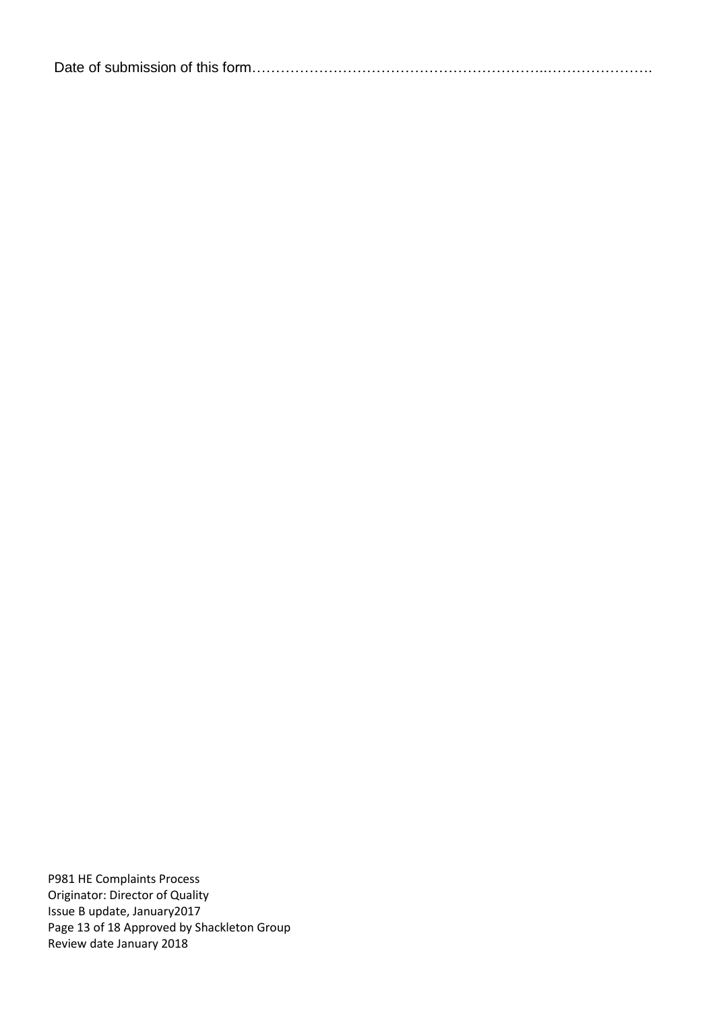Date of submission of this form……………………………………………………..………………….

P981 HE Complaints Process Originator: Director of Quality Issue B update, January2017 Page 13 of 18 Approved by Shackleton Group Review date January 2018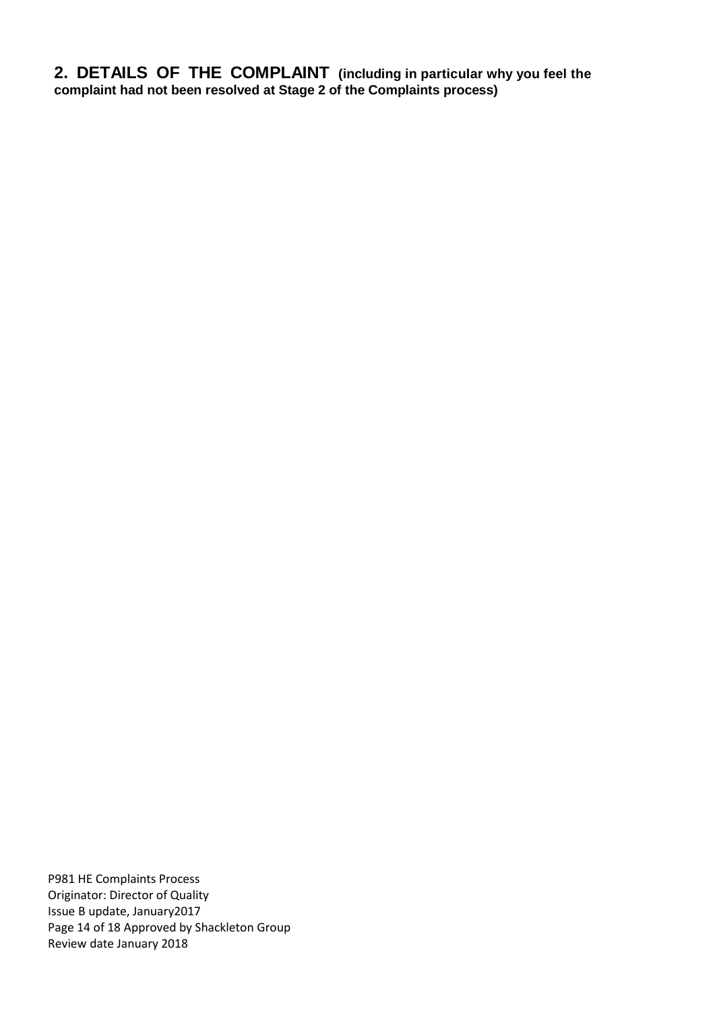**2. DETAILS OF THE COMPLAINT (including in particular why you feel the complaint had not been resolved at Stage 2 of the Complaints process)**

P981 HE Complaints Process Originator: Director of Quality Issue B update, January2017 Page 14 of 18 Approved by Shackleton Group Review date January 2018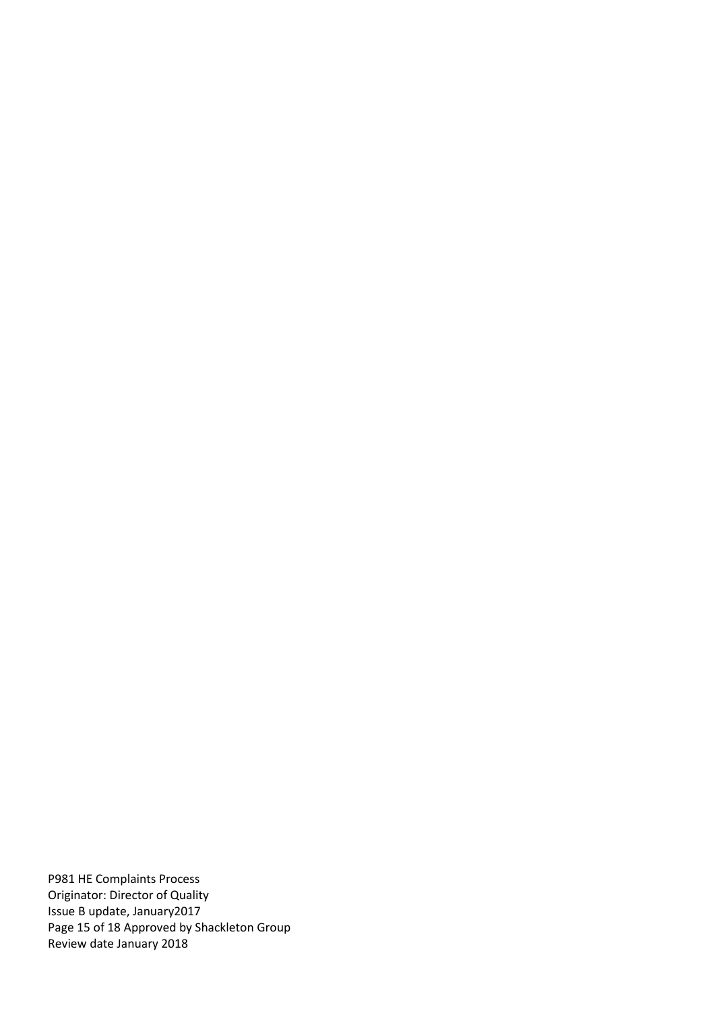P981 HE Complaints Process Originator: Director of Quality Issue B update, January2017 Page 15 of 18 Approved by Shackleton Group Review date January 2018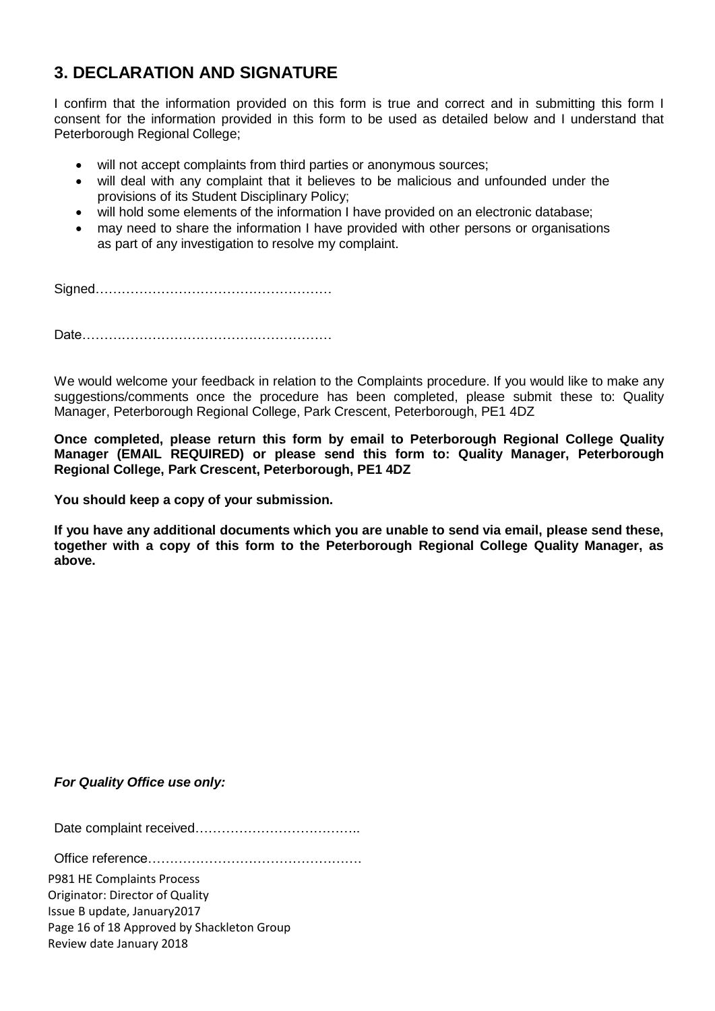# **3. DECLARATION AND SIGNATURE**

I confirm that the information provided on this form is true and correct and in submitting this form I consent for the information provided in this form to be used as detailed below and I understand that Peterborough Regional College;

- will not accept complaints from third parties or anonymous sources;
- will deal with any complaint that it believes to be malicious and unfounded under the provisions of its Student Disciplinary Policy;
- will hold some elements of the information I have provided on an electronic database;
- may need to share the information I have provided with other persons or organisations as part of any investigation to resolve my complaint.

Signed………………………………………………

Date…………………………………………………

We would welcome your feedback in relation to the Complaints procedure. If you would like to make any suggestions/comments once the procedure has been completed, please submit these to: Quality Manager, Peterborough Regional College, Park Crescent, Peterborough, PE1 4DZ

**Once completed, please return this form by email to Peterborough Regional College Quality Manager (EMAIL REQUIRED) or please send this form to: Quality Manager, Peterborough Regional College, Park Crescent, Peterborough, PE1 4DZ**

**You should keep a copy of your submission.**

**If you have any additional documents which you are unable to send via email, please send these, together with a copy of this form to the Peterborough Regional College Quality Manager, as above.**

## *For Quality Office use only:*

Date complaint received………………………………..

Office reference………………………………………….

P981 HE Complaints Process Originator: Director of Quality Issue B update, January2017 Page 16 of 18 Approved by Shackleton Group Review date January 2018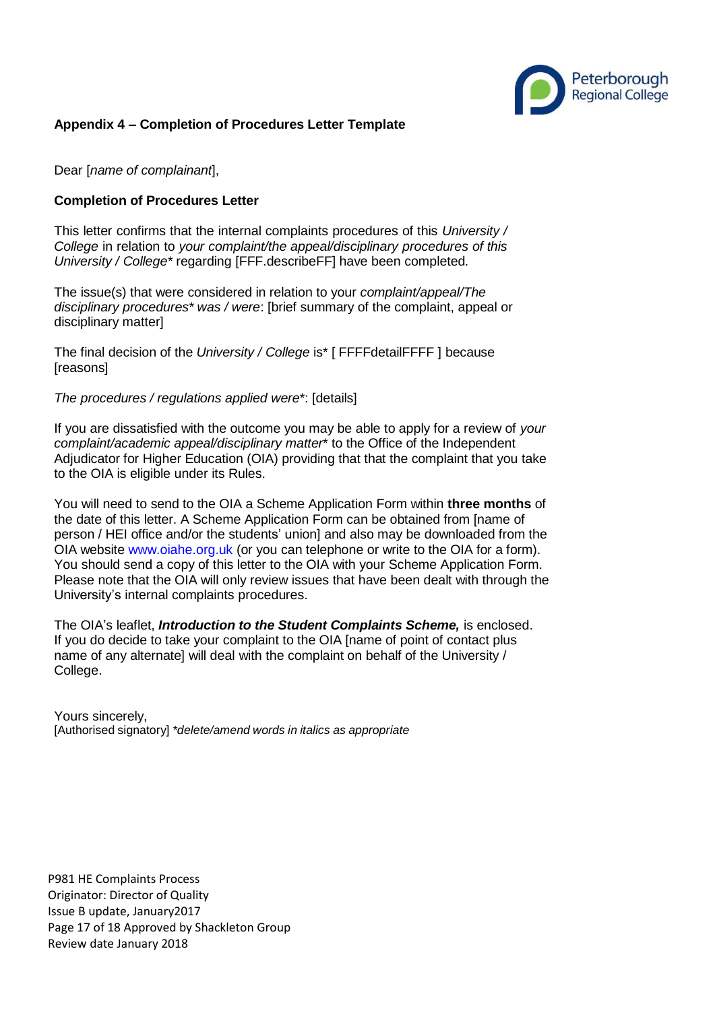

## **Appendix 4 – Completion of Procedures Letter Template**

Dear [*name of complainant*],

#### **Completion of Procedures Letter**

This letter confirms that the internal complaints procedures of this *University / College* in relation to *your complaint/the appeal/disciplinary procedures of this University / College\** regarding [FFF.describeFF] have been completed*.*

The issue(s) that were considered in relation to your *complaint/appeal/The disciplinary procedures\* was / were*: [brief summary of the complaint, appeal or disciplinary matter]

The final decision of the *University / College* is\* [ FFFFdetailFFFF ] because [reasons]

*The procedures / regulations applied were*\*: [details]

If you are dissatisfied with the outcome you may be able to apply for a review of *your complaint/academic appeal/disciplinary matter*\* to the Office of the Independent Adjudicator for Higher Education (OIA) providing that that the complaint that you take to the OIA is eligible under its Rules.

You will need to send to the OIA a Scheme Application Form within **three months** of the date of this letter. A Scheme Application Form can be obtained from [name of person / HEI office and/or the students' union] and also may be downloaded from the OIA website [www.oiahe.org.uk](http://www.oiahe.org.uk/) (or you can telephone or write to the OIA for a form). You should send a copy of this letter to the OIA with your Scheme Application Form. Please note that the OIA will only review issues that have been dealt with through the University's internal complaints procedures.

The OIA's leaflet, *Introduction to the Student Complaints Scheme,* is enclosed. If you do decide to take your complaint to the OIA [name of point of contact plus name of any alternate] will deal with the complaint on behalf of the University / College.

Yours sincerely, [Authorised signatory] *\*delete/amend words in italics as appropriate*

P981 HE Complaints Process Originator: Director of Quality Issue B update, January2017 Page 17 of 18 Approved by Shackleton Group Review date January 2018